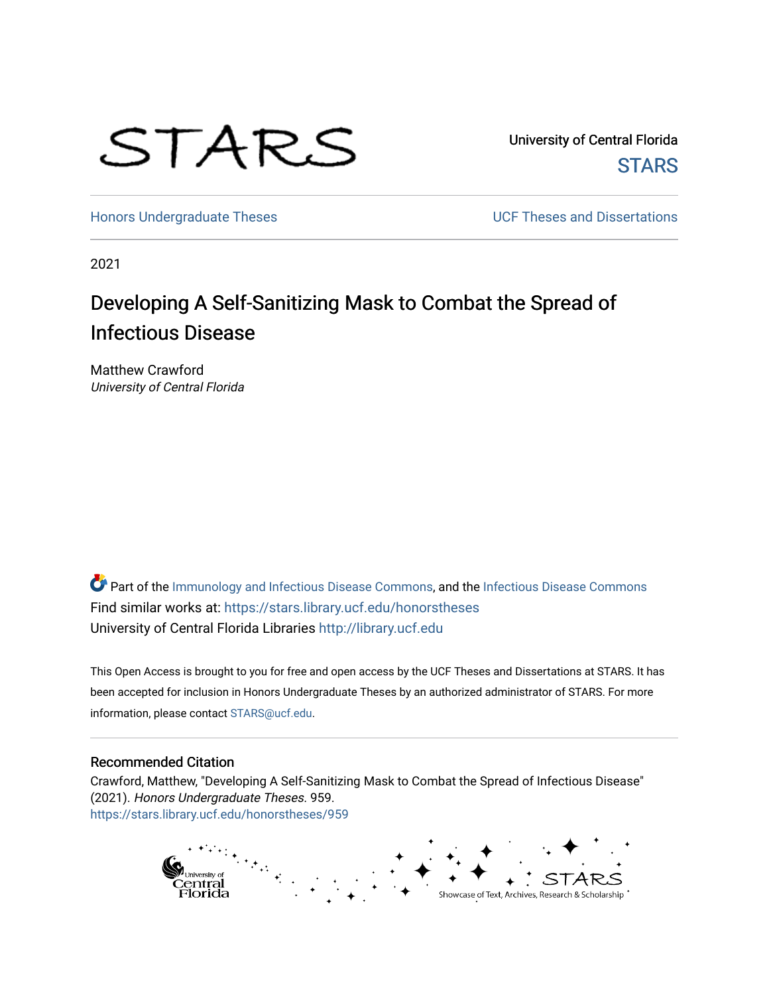

University of Central Florida **STARS** 

[Honors Undergraduate Theses](https://stars.library.ucf.edu/honorstheses) **Exercise 2018** UCF Theses and Dissertations

2021

# Developing A Self-Sanitizing Mask to Combat the Spread of Infectious Disease

Matthew Crawford University of Central Florida

Part of the [Immunology and Infectious Disease Commons,](http://network.bepress.com/hgg/discipline/33?utm_source=stars.library.ucf.edu%2Fhonorstheses%2F959&utm_medium=PDF&utm_campaign=PDFCoverPages) and the [Infectious Disease Commons](http://network.bepress.com/hgg/discipline/689?utm_source=stars.library.ucf.edu%2Fhonorstheses%2F959&utm_medium=PDF&utm_campaign=PDFCoverPages) Find similar works at: <https://stars.library.ucf.edu/honorstheses> University of Central Florida Libraries [http://library.ucf.edu](http://library.ucf.edu/) 

This Open Access is brought to you for free and open access by the UCF Theses and Dissertations at STARS. It has been accepted for inclusion in Honors Undergraduate Theses by an authorized administrator of STARS. For more information, please contact [STARS@ucf.edu.](mailto:STARS@ucf.edu)

#### Recommended Citation

Crawford, Matthew, "Developing A Self-Sanitizing Mask to Combat the Spread of Infectious Disease" (2021). Honors Undergraduate Theses. 959. [https://stars.library.ucf.edu/honorstheses/959](https://stars.library.ucf.edu/honorstheses/959?utm_source=stars.library.ucf.edu%2Fhonorstheses%2F959&utm_medium=PDF&utm_campaign=PDFCoverPages) 

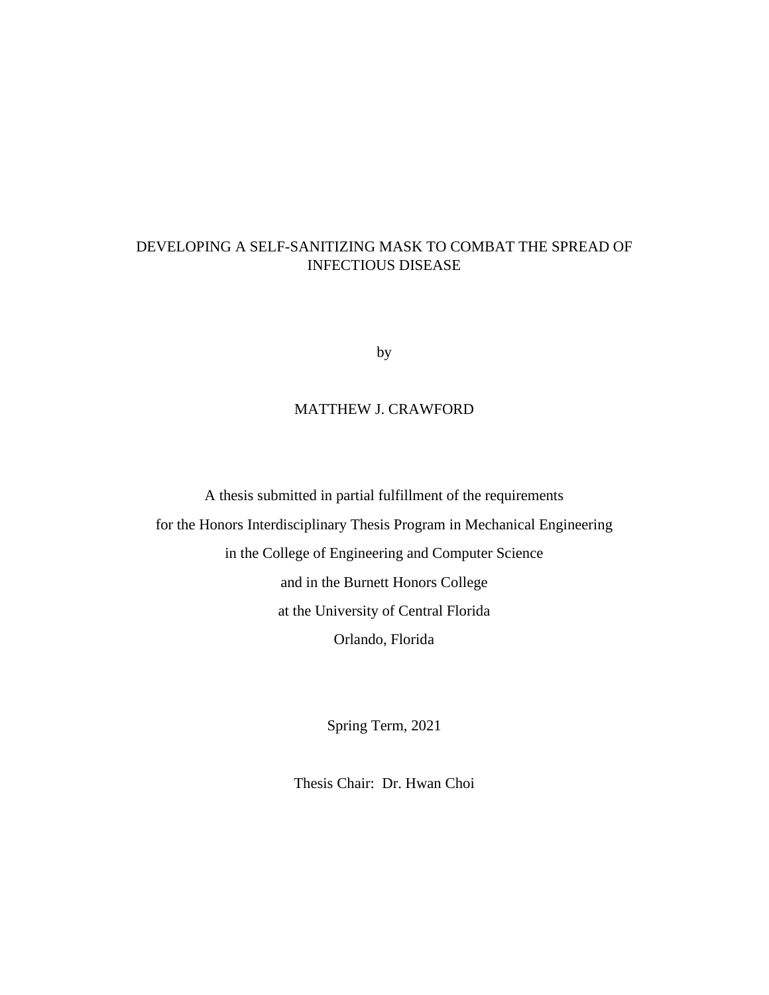### DEVELOPING A SELF-SANITIZING MASK TO COMBAT THE SPREAD OF INFECTIOUS DISEASE

by

### MATTHEW J. CRAWFORD

A thesis submitted in partial fulfillment of the requirements for the Honors Interdisciplinary Thesis Program in Mechanical Engineering in the College of Engineering and Computer Science and in the Burnett Honors College at the University of Central Florida Orlando, Florida

Spring Term, 2021

Thesis Chair: Dr. Hwan Choi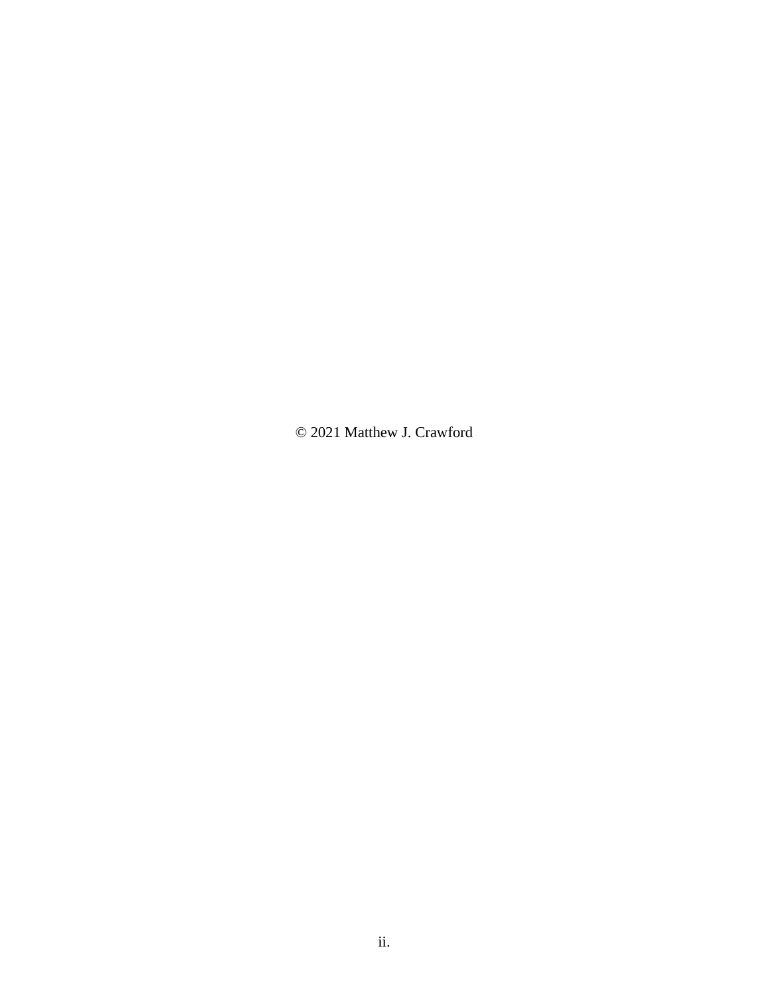© 2021 Matthew J. Crawford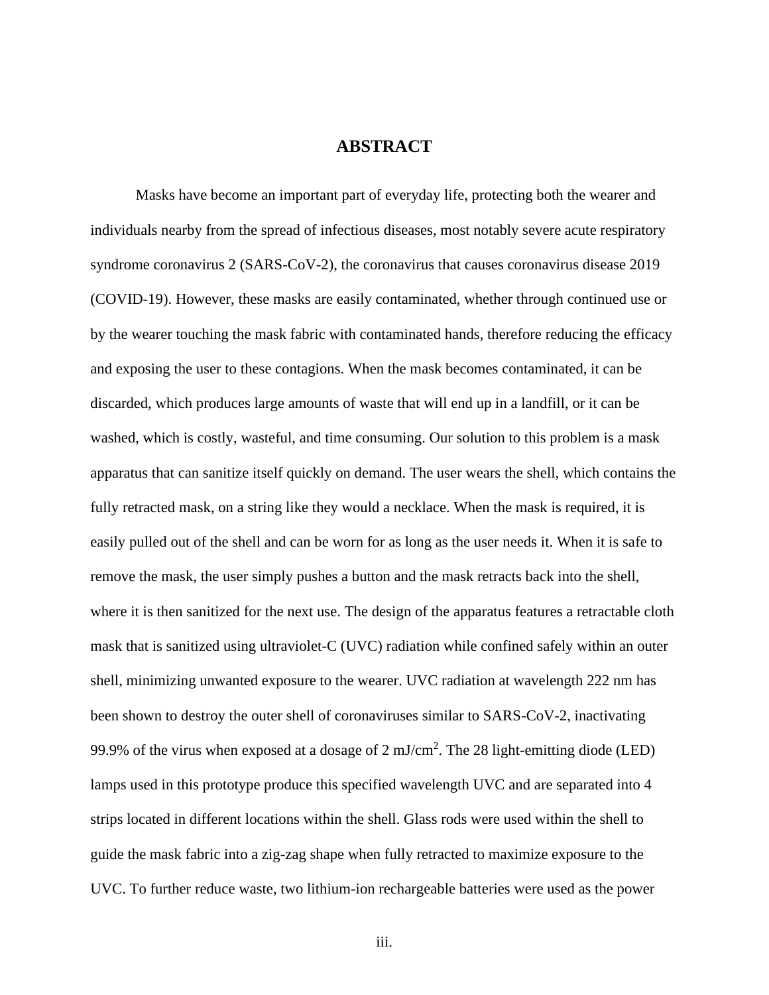### **ABSTRACT**

Masks have become an important part of everyday life, protecting both the wearer and individuals nearby from the spread of infectious diseases, most notably severe acute respiratory syndrome coronavirus 2 (SARS-CoV-2), the coronavirus that causes coronavirus disease 2019 (COVID-19). However, these masks are easily contaminated, whether through continued use or by the wearer touching the mask fabric with contaminated hands, therefore reducing the efficacy and exposing the user to these contagions. When the mask becomes contaminated, it can be discarded, which produces large amounts of waste that will end up in a landfill, or it can be washed, which is costly, wasteful, and time consuming. Our solution to this problem is a mask apparatus that can sanitize itself quickly on demand. The user wears the shell, which contains the fully retracted mask, on a string like they would a necklace. When the mask is required, it is easily pulled out of the shell and can be worn for as long as the user needs it. When it is safe to remove the mask, the user simply pushes a button and the mask retracts back into the shell, where it is then sanitized for the next use. The design of the apparatus features a retractable cloth mask that is sanitized using ultraviolet-C (UVC) radiation while confined safely within an outer shell, minimizing unwanted exposure to the wearer. UVC radiation at wavelength 222 nm has been shown to destroy the outer shell of coronaviruses similar to SARS-CoV-2, inactivating 99.9% of the virus when exposed at a dosage of  $2 \text{ mJ/cm}^2$ . The 28 light-emitting diode (LED) lamps used in this prototype produce this specified wavelength UVC and are separated into 4 strips located in different locations within the shell. Glass rods were used within the shell to guide the mask fabric into a zig-zag shape when fully retracted to maximize exposure to the UVC. To further reduce waste, two lithium-ion rechargeable batteries were used as the power

iii.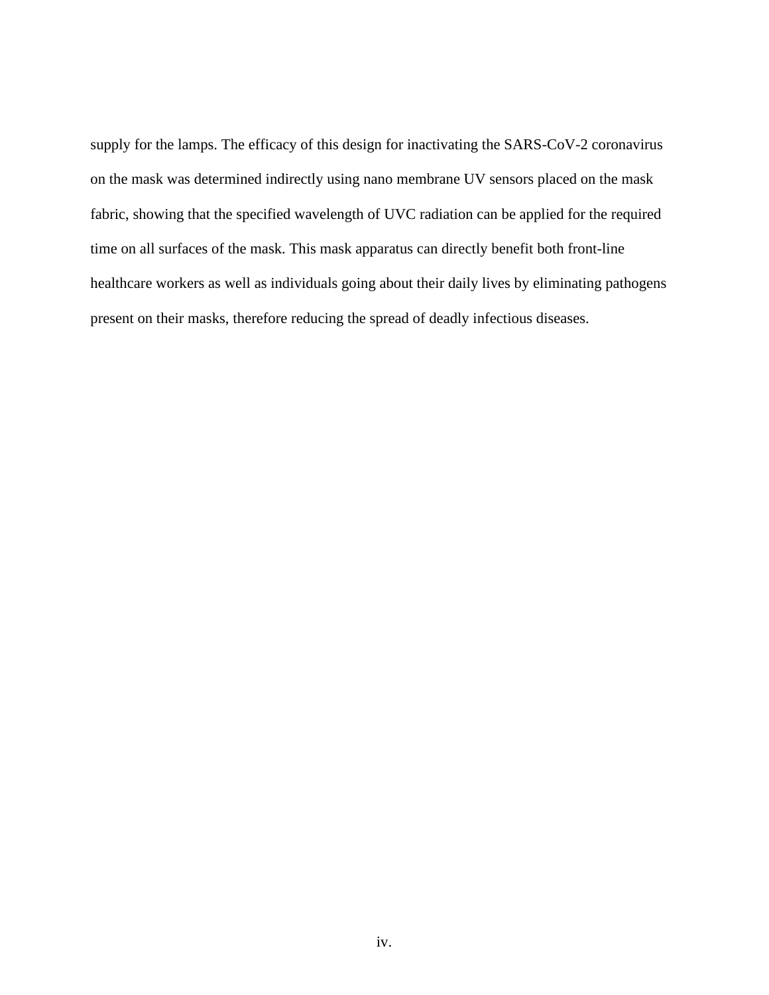supply for the lamps. The efficacy of this design for inactivating the SARS-CoV-2 coronavirus on the mask was determined indirectly using nano membrane UV sensors placed on the mask fabric, showing that the specified wavelength of UVC radiation can be applied for the required time on all surfaces of the mask. This mask apparatus can directly benefit both front-line healthcare workers as well as individuals going about their daily lives by eliminating pathogens present on their masks, therefore reducing the spread of deadly infectious diseases.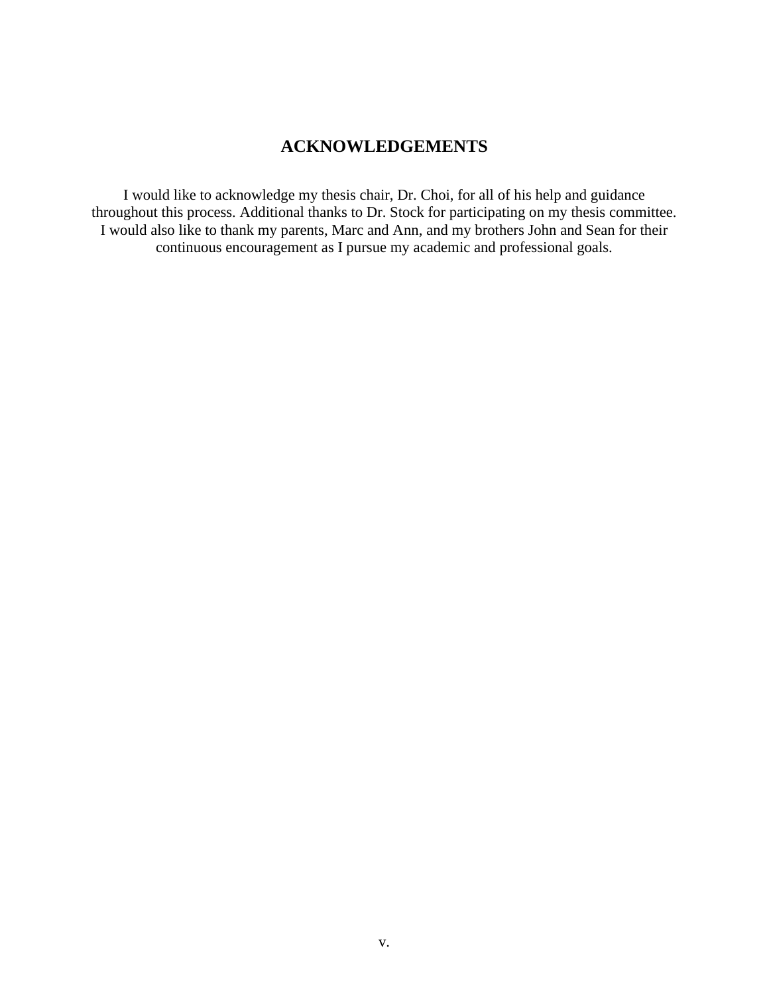## **ACKNOWLEDGEMENTS**

I would like to acknowledge my thesis chair, Dr. Choi, for all of his help and guidance throughout this process. Additional thanks to Dr. Stock for participating on my thesis committee. I would also like to thank my parents, Marc and Ann, and my brothers John and Sean for their continuous encouragement as I pursue my academic and professional goals.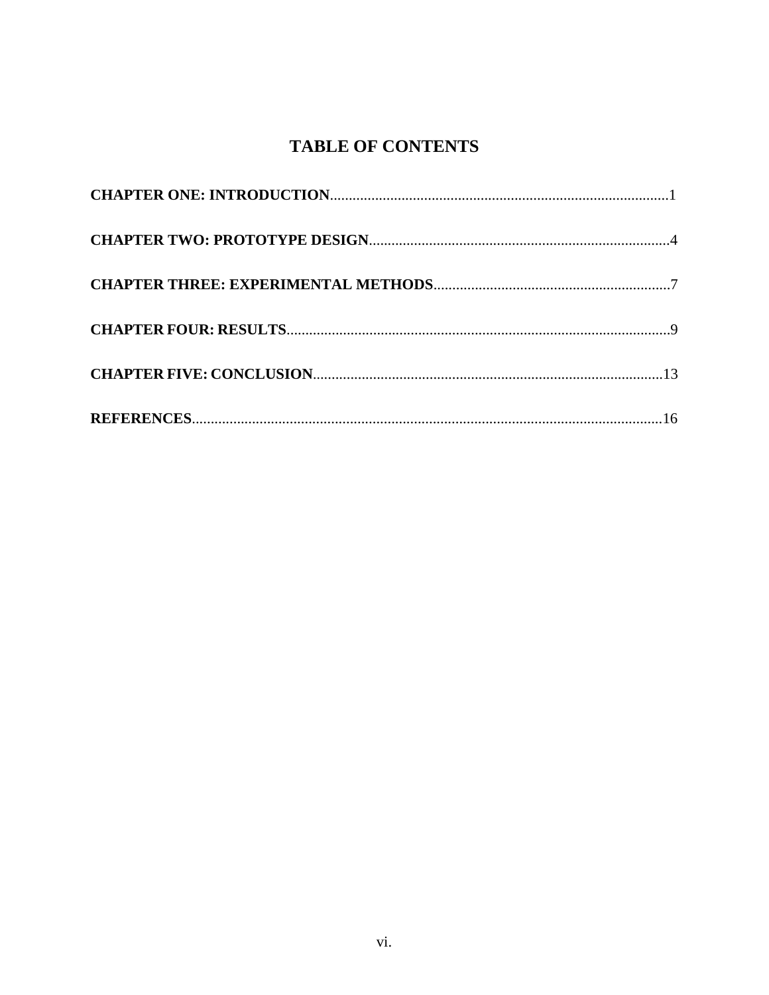# **TABLE OF CONTENTS**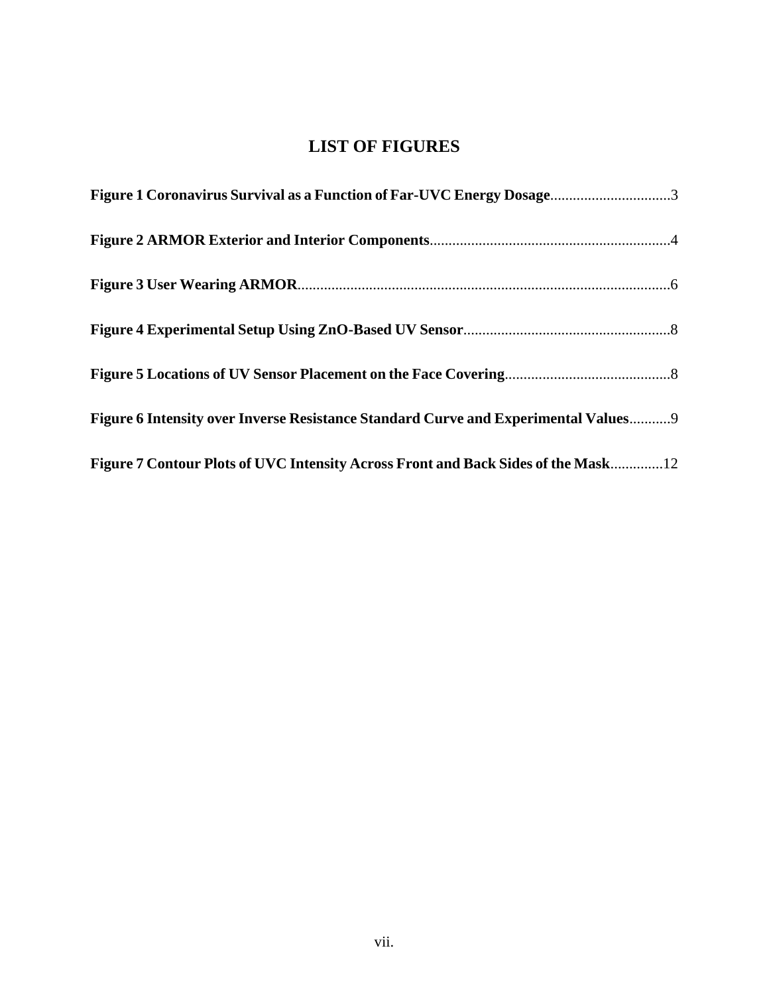# **LIST OF FIGURES**

| Figure 1 Coronavirus Survival as a Function of Far-UVC Energy Dosage3               |
|-------------------------------------------------------------------------------------|
|                                                                                     |
|                                                                                     |
|                                                                                     |
|                                                                                     |
| Figure 6 Intensity over Inverse Resistance Standard Curve and Experimental Values 9 |
| Figure 7 Contour Plots of UVC Intensity Across Front and Back Sides of the Mask 12  |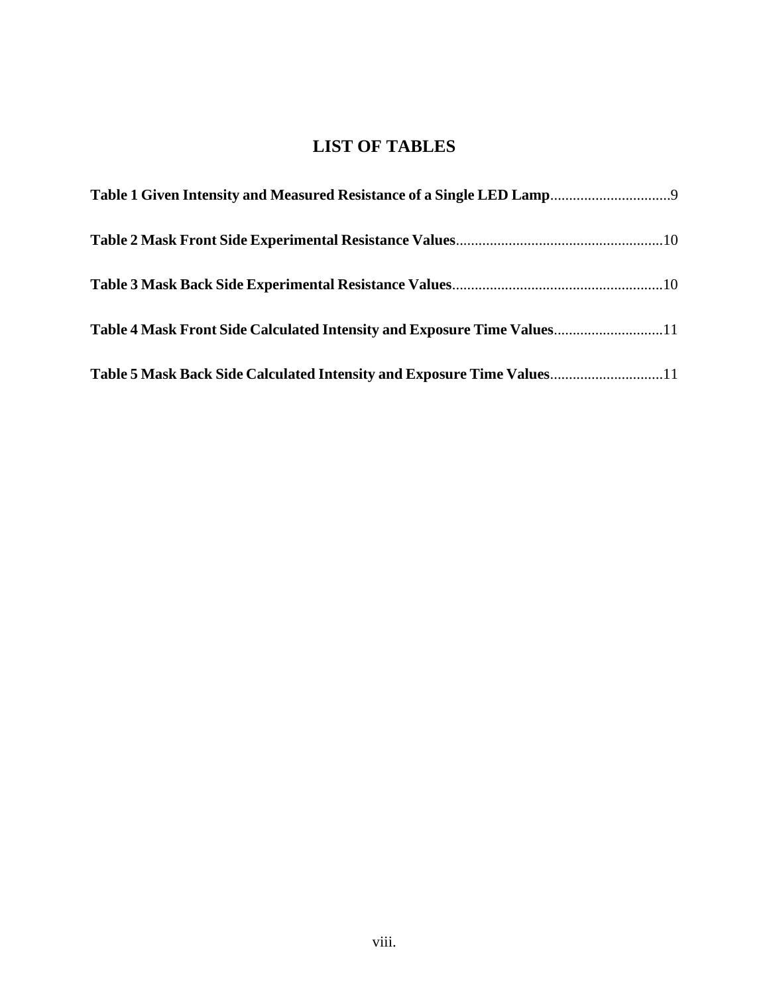# **LIST OF TABLES**

| Table 4 Mask Front Side Calculated Intensity and Exposure Time Values11 |  |
|-------------------------------------------------------------------------|--|
| Table 5 Mask Back Side Calculated Intensity and Exposure Time Values11  |  |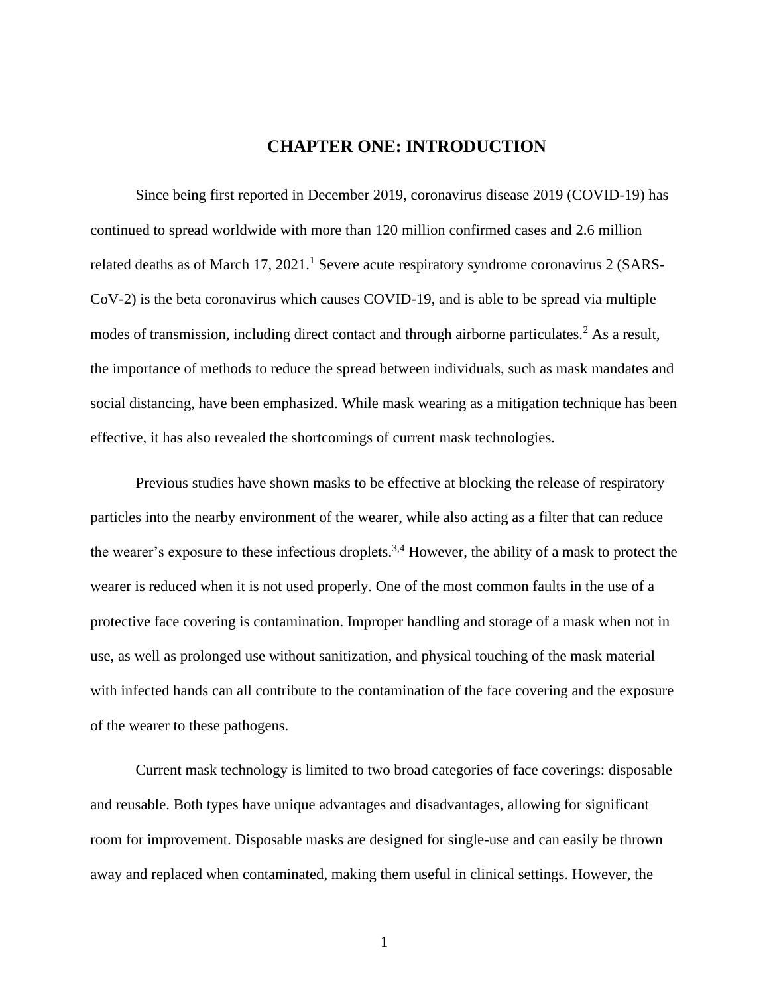### **CHAPTER ONE: INTRODUCTION**

Since being first reported in December 2019, coronavirus disease 2019 (COVID-19) has continued to spread worldwide with more than 120 million confirmed cases and 2.6 million related deaths as of March 17, 2021.<sup>1</sup> Severe acute respiratory syndrome coronavirus 2 (SARS-CoV-2) is the beta coronavirus which causes COVID-19, and is able to be spread via multiple modes of transmission, including direct contact and through airborne particulates.<sup>2</sup> As a result, the importance of methods to reduce the spread between individuals, such as mask mandates and social distancing, have been emphasized. While mask wearing as a mitigation technique has been effective, it has also revealed the shortcomings of current mask technologies.

Previous studies have shown masks to be effective at blocking the release of respiratory particles into the nearby environment of the wearer, while also acting as a filter that can reduce the wearer's exposure to these infectious droplets.<sup>3,4</sup> However, the ability of a mask to protect the wearer is reduced when it is not used properly. One of the most common faults in the use of a protective face covering is contamination. Improper handling and storage of a mask when not in use, as well as prolonged use without sanitization, and physical touching of the mask material with infected hands can all contribute to the contamination of the face covering and the exposure of the wearer to these pathogens.

Current mask technology is limited to two broad categories of face coverings: disposable and reusable. Both types have unique advantages and disadvantages, allowing for significant room for improvement. Disposable masks are designed for single-use and can easily be thrown away and replaced when contaminated, making them useful in clinical settings. However, the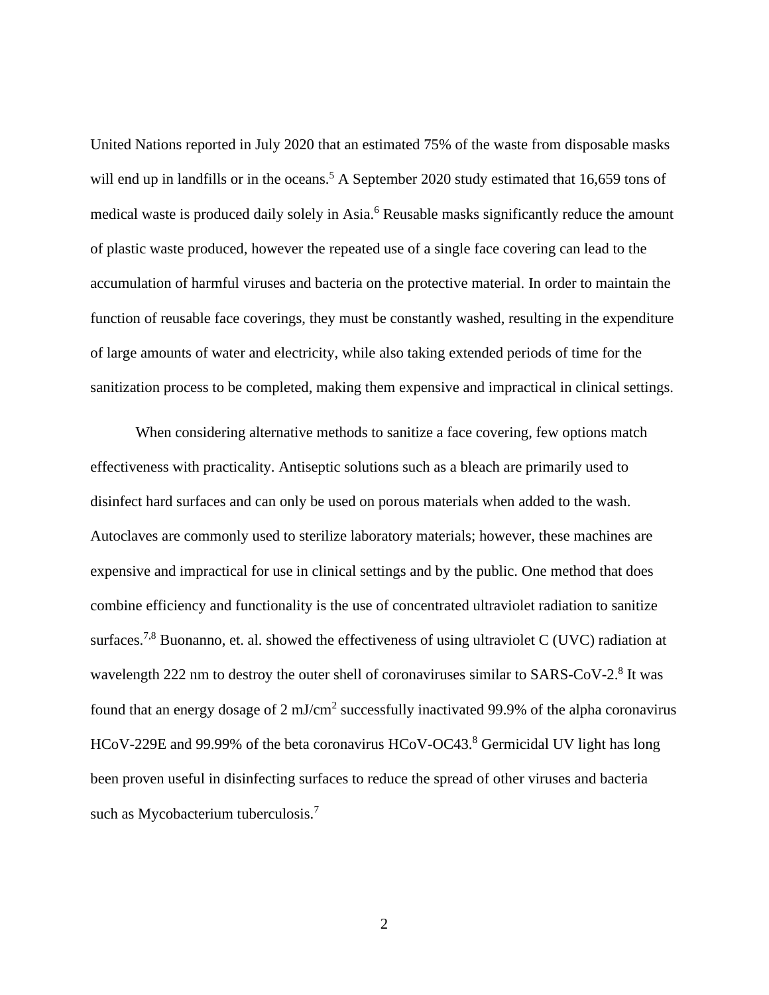United Nations reported in July 2020 that an estimated 75% of the waste from disposable masks will end up in landfills or in the oceans.<sup>5</sup> A September 2020 study estimated that 16,659 tons of medical waste is produced daily solely in Asia.<sup>6</sup> Reusable masks significantly reduce the amount of plastic waste produced, however the repeated use of a single face covering can lead to the accumulation of harmful viruses and bacteria on the protective material. In order to maintain the function of reusable face coverings, they must be constantly washed, resulting in the expenditure of large amounts of water and electricity, while also taking extended periods of time for the sanitization process to be completed, making them expensive and impractical in clinical settings.

When considering alternative methods to sanitize a face covering, few options match effectiveness with practicality. Antiseptic solutions such as a bleach are primarily used to disinfect hard surfaces and can only be used on porous materials when added to the wash. Autoclaves are commonly used to sterilize laboratory materials; however, these machines are expensive and impractical for use in clinical settings and by the public. One method that does combine efficiency and functionality is the use of concentrated ultraviolet radiation to sanitize surfaces.<sup>7,8</sup> Buonanno, et. al. showed the effectiveness of using ultraviolet C (UVC) radiation at wavelength 222 nm to destroy the outer shell of coronaviruses similar to SARS-CoV-2.<sup>8</sup> It was found that an energy dosage of  $2 \text{ mJ/cm}^2$  successfully inactivated 99.9% of the alpha coronavirus HCoV-229E and 99.99% of the beta coronavirus HCoV-OC43.<sup>8</sup> Germicidal UV light has long been proven useful in disinfecting surfaces to reduce the spread of other viruses and bacteria such as Mycobacterium tuberculosis.<sup>7</sup>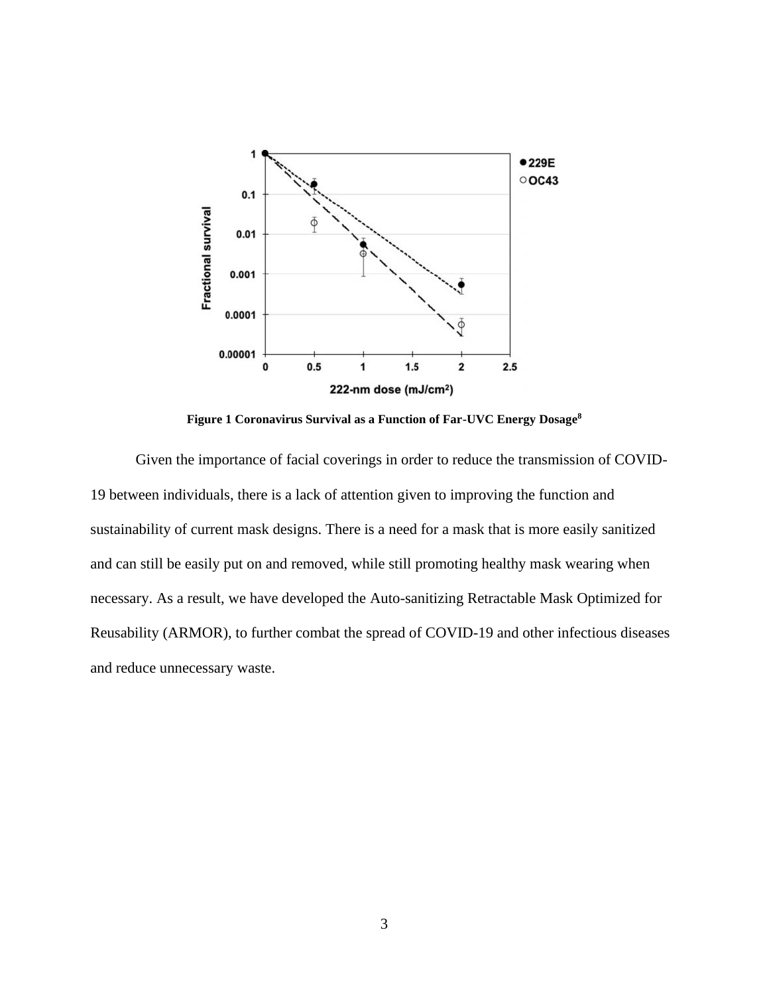

**Figure 1 Coronavirus Survival as a Function of Far-UVC Energy Dosage<sup>8</sup>**

Given the importance of facial coverings in order to reduce the transmission of COVID-19 between individuals, there is a lack of attention given to improving the function and sustainability of current mask designs. There is a need for a mask that is more easily sanitized and can still be easily put on and removed, while still promoting healthy mask wearing when necessary. As a result, we have developed the Auto-sanitizing Retractable Mask Optimized for Reusability (ARMOR), to further combat the spread of COVID-19 and other infectious diseases and reduce unnecessary waste.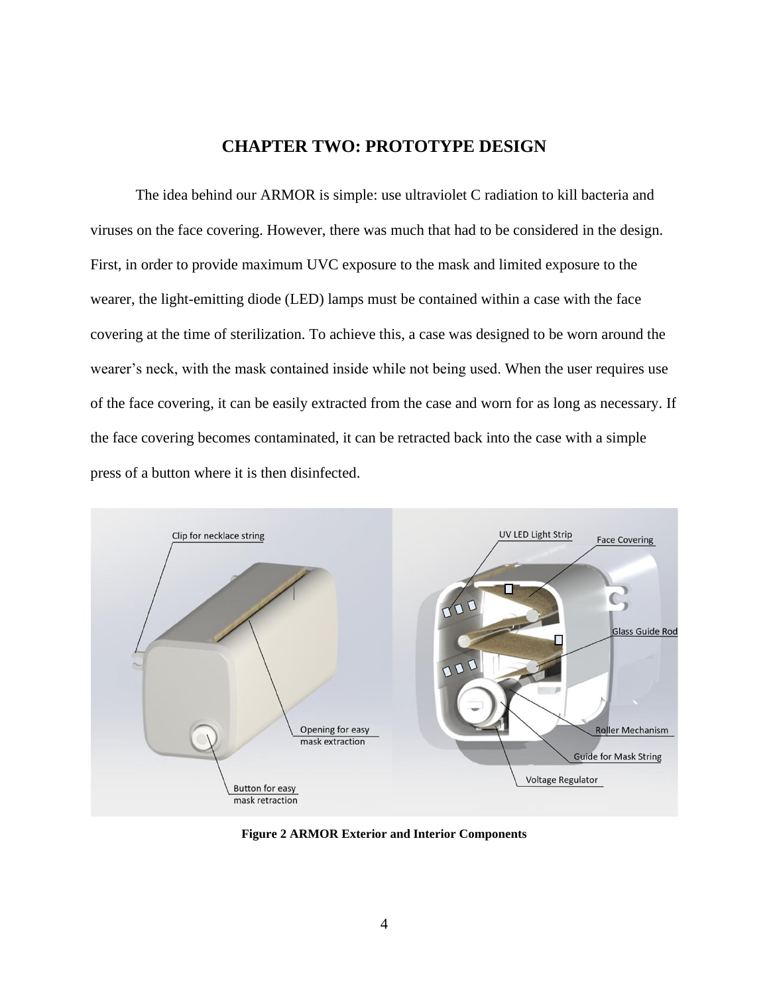### **CHAPTER TWO: PROTOTYPE DESIGN**

The idea behind our ARMOR is simple: use ultraviolet C radiation to kill bacteria and viruses on the face covering. However, there was much that had to be considered in the design. First, in order to provide maximum UVC exposure to the mask and limited exposure to the wearer, the light-emitting diode (LED) lamps must be contained within a case with the face covering at the time of sterilization. To achieve this, a case was designed to be worn around the wearer's neck, with the mask contained inside while not being used. When the user requires use of the face covering, it can be easily extracted from the case and worn for as long as necessary. If the face covering becomes contaminated, it can be retracted back into the case with a simple press of a button where it is then disinfected.



**Figure 2 ARMOR Exterior and Interior Components**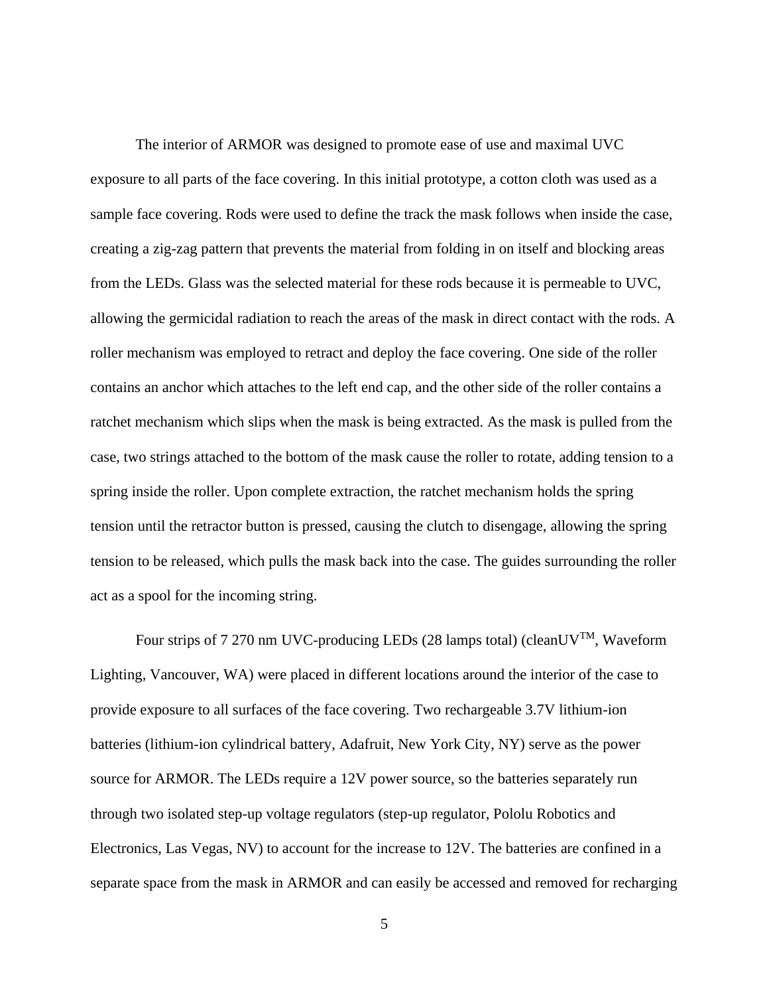The interior of ARMOR was designed to promote ease of use and maximal UVC exposure to all parts of the face covering. In this initial prototype, a cotton cloth was used as a sample face covering. Rods were used to define the track the mask follows when inside the case, creating a zig-zag pattern that prevents the material from folding in on itself and blocking areas from the LEDs. Glass was the selected material for these rods because it is permeable to UVC, allowing the germicidal radiation to reach the areas of the mask in direct contact with the rods. A roller mechanism was employed to retract and deploy the face covering. One side of the roller contains an anchor which attaches to the left end cap, and the other side of the roller contains a ratchet mechanism which slips when the mask is being extracted. As the mask is pulled from the case, two strings attached to the bottom of the mask cause the roller to rotate, adding tension to a spring inside the roller. Upon complete extraction, the ratchet mechanism holds the spring tension until the retractor button is pressed, causing the clutch to disengage, allowing the spring tension to be released, which pulls the mask back into the case. The guides surrounding the roller act as a spool for the incoming string.

Four strips of 7 270 nm UVC-producing LEDs (28 lamps total) (cleanUV<sup>TM</sup>, Waveform Lighting, Vancouver, WA) were placed in different locations around the interior of the case to provide exposure to all surfaces of the face covering. Two rechargeable 3.7V lithium-ion batteries (lithium-ion cylindrical battery, Adafruit, New York City, NY) serve as the power source for ARMOR. The LEDs require a 12V power source, so the batteries separately run through two isolated step-up voltage regulators (step-up regulator, Pololu Robotics and Electronics, Las Vegas, NV) to account for the increase to 12V. The batteries are confined in a separate space from the mask in ARMOR and can easily be accessed and removed for recharging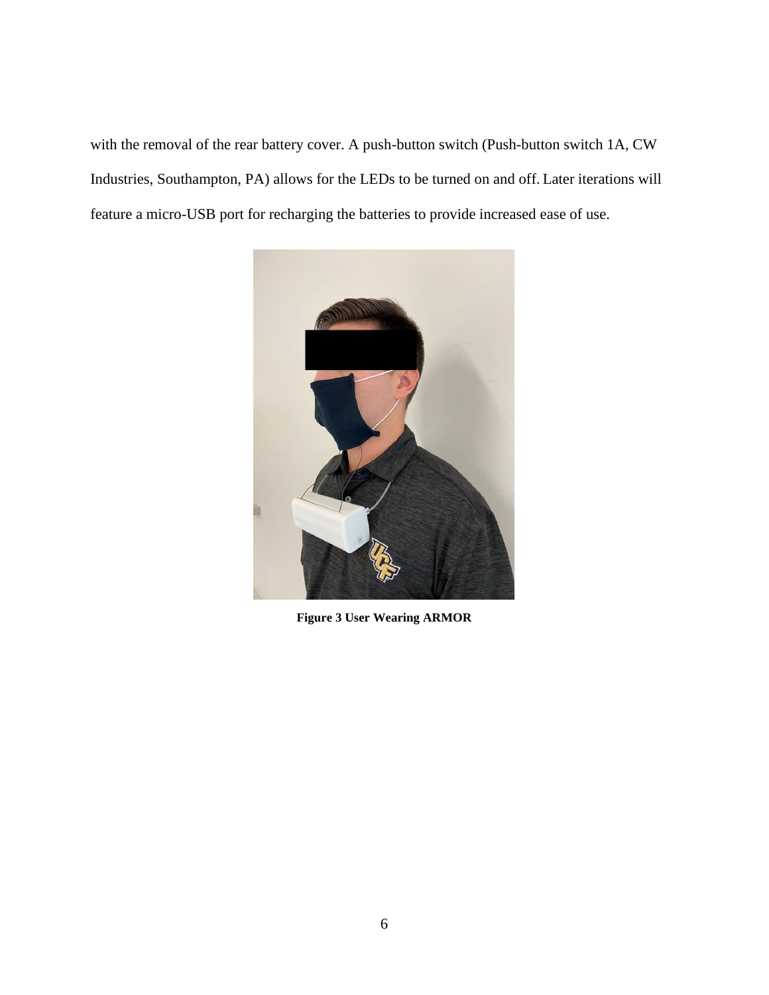with the removal of the rear battery cover. A push-button switch (Push-button switch 1A, CW Industries, Southampton, PA) allows for the LEDs to be turned on and off. Later iterations will feature a micro-USB port for recharging the batteries to provide increased ease of use.



**Figure 3 User Wearing ARMOR**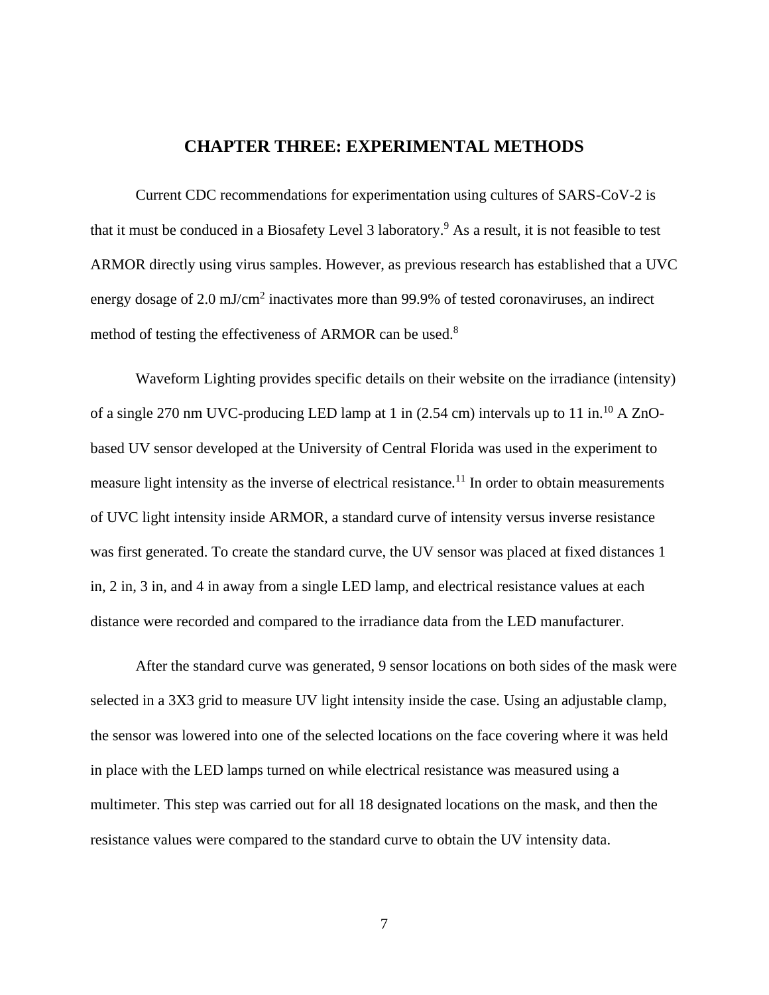### **CHAPTER THREE: EXPERIMENTAL METHODS**

Current CDC recommendations for experimentation using cultures of SARS-CoV-2 is that it must be conduced in a Biosafety Level 3 laboratory.<sup>9</sup> As a result, it is not feasible to test ARMOR directly using virus samples. However, as previous research has established that a UVC energy dosage of 2.0 mJ/cm<sup>2</sup> inactivates more than 99.9% of tested coronaviruses, an indirect method of testing the effectiveness of ARMOR can be used.<sup>8</sup>

Waveform Lighting provides specific details on their website on the irradiance (intensity) of a single 270 nm UVC-producing LED lamp at 1 in (2.54 cm) intervals up to 11 in.<sup>10</sup> A ZnObased UV sensor developed at the University of Central Florida was used in the experiment to measure light intensity as the inverse of electrical resistance.<sup>11</sup> In order to obtain measurements of UVC light intensity inside ARMOR, a standard curve of intensity versus inverse resistance was first generated. To create the standard curve, the UV sensor was placed at fixed distances 1 in, 2 in, 3 in, and 4 in away from a single LED lamp, and electrical resistance values at each distance were recorded and compared to the irradiance data from the LED manufacturer.

After the standard curve was generated, 9 sensor locations on both sides of the mask were selected in a 3X3 grid to measure UV light intensity inside the case. Using an adjustable clamp, the sensor was lowered into one of the selected locations on the face covering where it was held in place with the LED lamps turned on while electrical resistance was measured using a multimeter. This step was carried out for all 18 designated locations on the mask, and then the resistance values were compared to the standard curve to obtain the UV intensity data.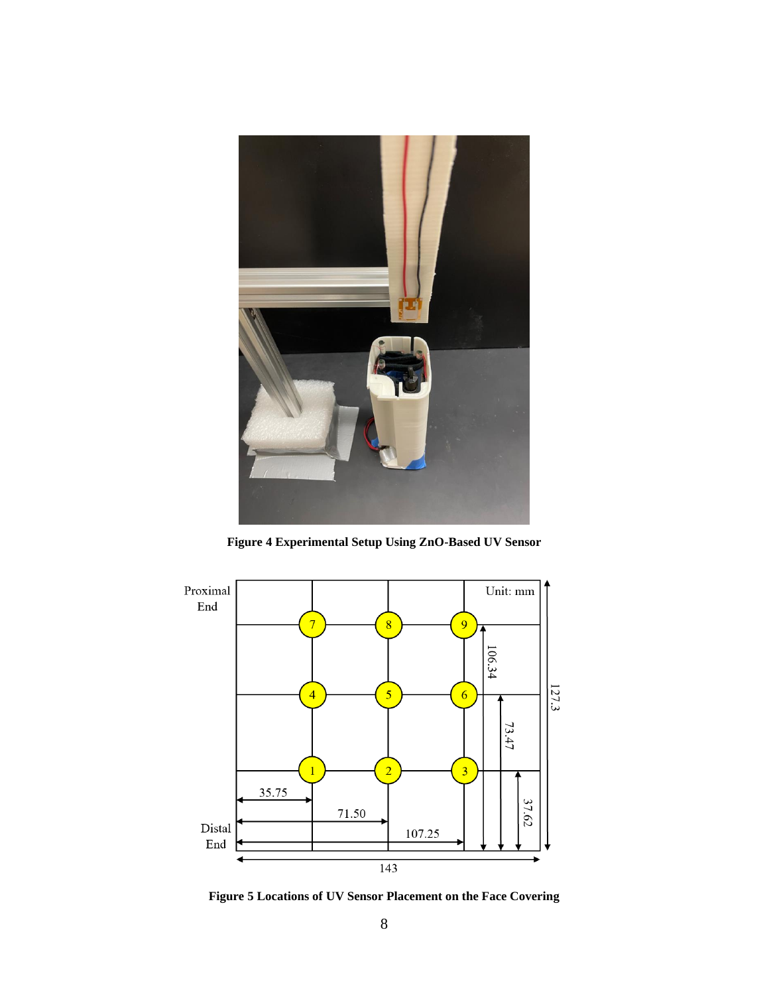

**Figure 4 Experimental Setup Using ZnO-Based UV Sensor**



**Figure 5 Locations of UV Sensor Placement on the Face Covering**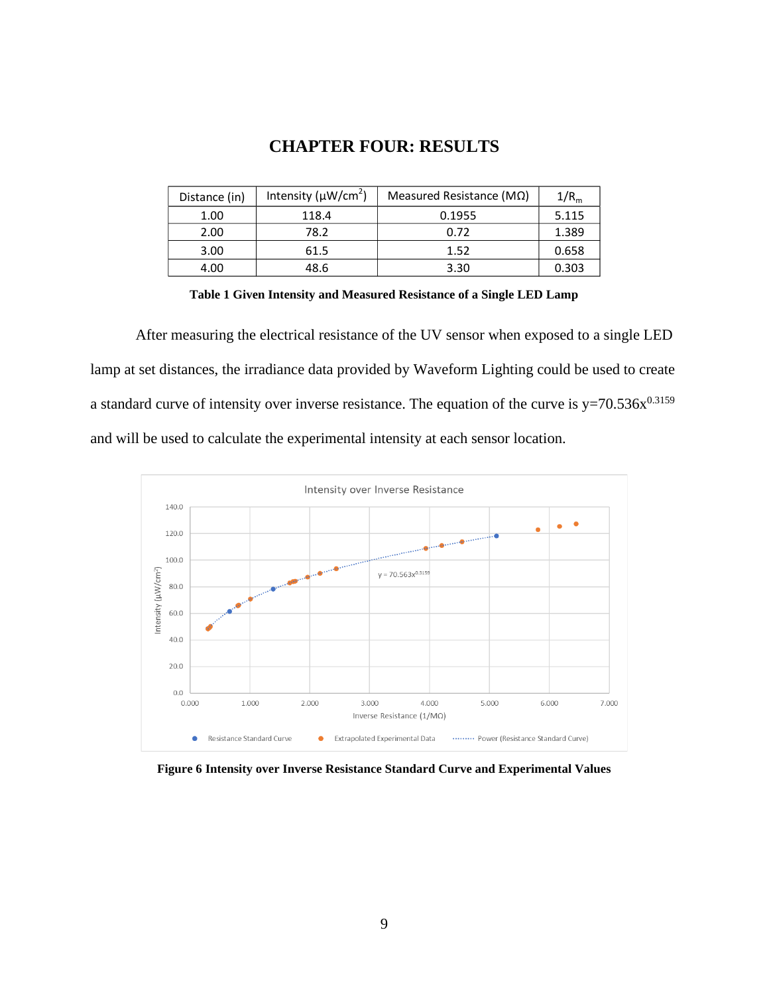### **CHAPTER FOUR: RESULTS**

| Distance (in) | Intensity ( $\mu$ W/cm <sup>2</sup> ) | Measured Resistance ( $M\Omega$ ) | 1/R <sub>m</sub> |
|---------------|---------------------------------------|-----------------------------------|------------------|
| 1.00          | 118.4                                 | 0.1955                            | 5.115            |
| 2.00          | 78.2                                  | 0.72                              | 1.389            |
| 3.00          | 61.5                                  | 1.52                              | 0.658            |
| 4.00          | 48.6                                  | 3.30                              | 0.303            |

**Table 1 Given Intensity and Measured Resistance of a Single LED Lamp**

After measuring the electrical resistance of the UV sensor when exposed to a single LED lamp at set distances, the irradiance data provided by Waveform Lighting could be used to create a standard curve of intensity over inverse resistance. The equation of the curve is  $y=70.536x^{0.3159}$ and will be used to calculate the experimental intensity at each sensor location.



**Figure 6 Intensity over Inverse Resistance Standard Curve and Experimental Values**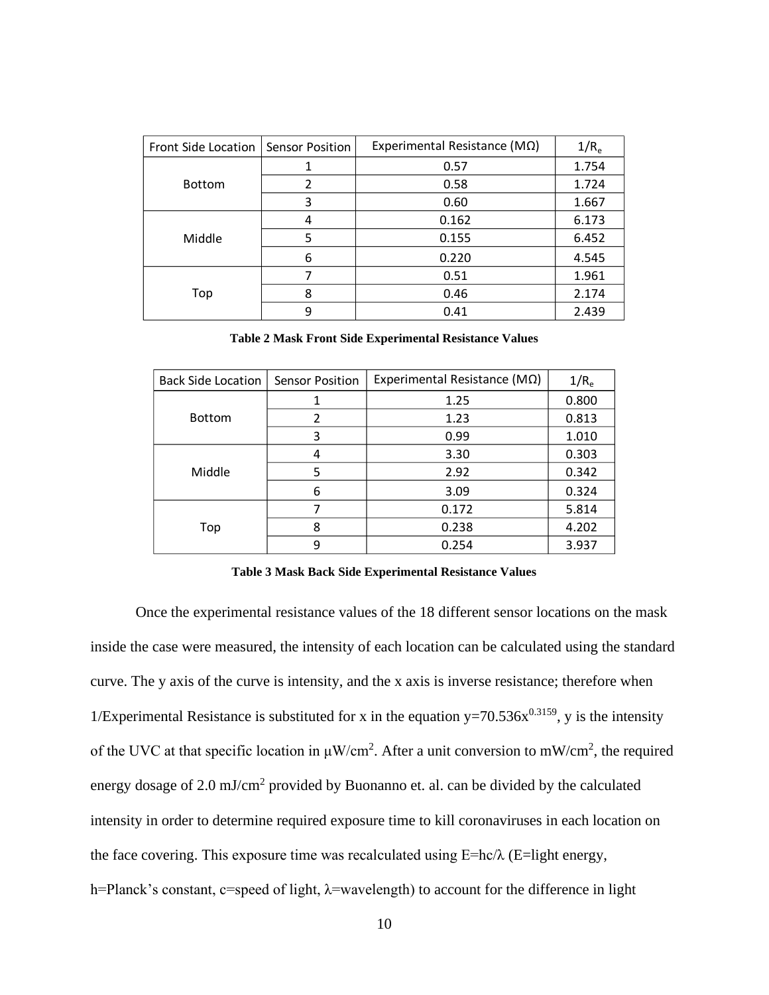| Front Side Location | <b>Sensor Position</b> | Experimental Resistance ( $M\Omega$ ) | 1/R <sub>e</sub> |
|---------------------|------------------------|---------------------------------------|------------------|
|                     |                        | 0.57                                  |                  |
| <b>Bottom</b>       | 2                      | 0.58                                  |                  |
|                     | 3                      | 0.60                                  | 1.667            |
| Middle              | 4                      | 0.162                                 | 6.173            |
|                     | 5                      | 0.155                                 | 6.452            |
|                     | 6                      | 0.220                                 | 4.545            |
| Top                 | 7                      | 0.51                                  | 1.961            |
|                     | 8                      | 0.46                                  | 2.174            |
|                     | 9                      | 0.41                                  | 2.439            |

**Table 2 Mask Front Side Experimental Resistance Values**

| <b>Back Side Location</b> | <b>Sensor Position</b> | Experimental Resistance ( $MO$ ) | 1/R <sub>e</sub> |
|---------------------------|------------------------|----------------------------------|------------------|
|                           |                        | 1.25                             | 0.800            |
| <b>Bottom</b>             | $\overline{2}$         | 1.23                             | 0.813            |
|                           | 3                      | 0.99                             | 1.010            |
| Middle                    | 4                      | 3.30                             | 0.303            |
|                           | 5                      | 2.92                             | 0.342            |
|                           | 6                      | 3.09                             | 0.324            |
| Top                       | 7                      | 0.172                            | 5.814            |
|                           | 8                      | 0.238                            | 4.202            |
|                           | 9                      | 0.254                            | 3.937            |

**Table 3 Mask Back Side Experimental Resistance Values**

Once the experimental resistance values of the 18 different sensor locations on the mask inside the case were measured, the intensity of each location can be calculated using the standard curve. The y axis of the curve is intensity, and the x axis is inverse resistance; therefore when 1/Experimental Resistance is substituted for x in the equation  $y=70.536x^{0.3159}$ , y is the intensity of the UVC at that specific location in  $\mu$ W/cm<sup>2</sup>. After a unit conversion to mW/cm<sup>2</sup>, the required energy dosage of 2.0 mJ/cm<sup>2</sup> provided by Buonanno et. al. can be divided by the calculated intensity in order to determine required exposure time to kill coronaviruses in each location on the face covering. This exposure time was recalculated using  $E=hc/\lambda$  (E=light energy, h=Planck's constant, c=speed of light, λ=wavelength) to account for the difference in light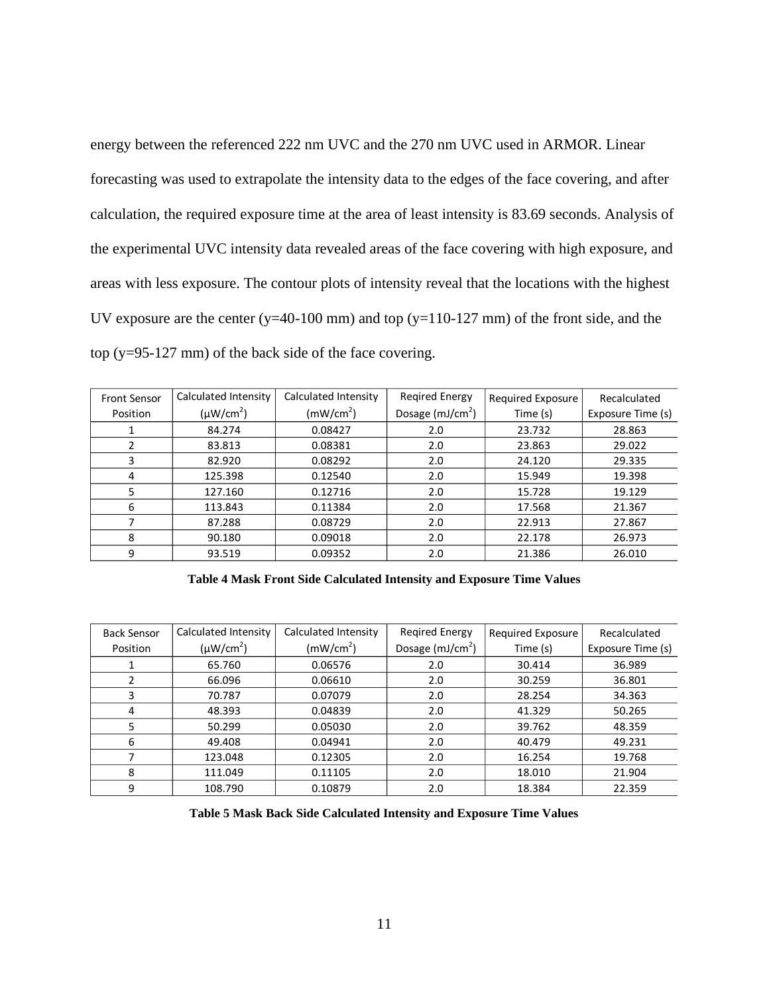energy between the referenced 222 nm UVC and the 270 nm UVC used in ARMOR. Linear forecasting was used to extrapolate the intensity data to the edges of the face covering, and after calculation, the required exposure time at the area of least intensity is 83.69 seconds. Analysis of the experimental UVC intensity data revealed areas of the face covering with high exposure, and areas with less exposure. The contour plots of intensity reveal that the locations with the highest UV exposure are the center (y=40-100 mm) and top (y=110-127 mm) of the front side, and the top (y=95-127 mm) of the back side of the face covering.

| <b>Front Sensor</b> | Calculated Intensity | Calculated Intensity  | <b>Regired Energy</b> | Required Exposure | Recalculated      |
|---------------------|----------------------|-----------------------|-----------------------|-------------------|-------------------|
| Position            | $(\mu W/cm^2)$       | (mW/cm <sup>2</sup> ) | Dosage $(mJ/cm2)$     | Time (s)          | Exposure Time (s) |
|                     | 84.274               | 0.08427               | 2.0                   | 23.732            | 28.863            |
|                     | 83.813               | 0.08381               | 2.0                   | 23.863            | 29.022            |
| 3                   | 82.920               | 0.08292               | 2.0                   | 24.120            | 29.335            |
| 4                   | 125.398              | 0.12540               | 2.0                   | 15.949            | 19.398            |
| 5                   | 127.160              | 0.12716               | 2.0                   | 15.728            | 19.129            |
| 6                   | 113.843              | 0.11384               | 2.0                   | 17.568            | 21.367            |
|                     | 87.288               | 0.08729               | 2.0                   | 22.913            | 27.867            |
| 8                   | 90.180               | 0.09018               | 2.0                   | 22.178            | 26.973            |
| 9                   | 93.519               | 0.09352               | 2.0                   | 21.386            | 26.010            |

**Table 4 Mask Front Side Calculated Intensity and Exposure Time Values**

| <b>Back Sensor</b> | Calculated Intensity | Calculated Intensity  | Regired Energy    | Required Exposure | Recalculated      |
|--------------------|----------------------|-----------------------|-------------------|-------------------|-------------------|
| Position           | $(\mu W/cm^2)$       | (mW/cm <sup>2</sup> ) | Dosage $(mJ/cm2)$ | Time (s)          | Exposure Time (s) |
|                    | 65.760               | 0.06576               | 2.0               | 30.414            | 36.989            |
|                    | 66.096               | 0.06610               | 2.0               | 30.259            | 36.801            |
| 3                  | 70.787               | 0.07079               | 2.0               | 28.254            | 34.363            |
| 4                  | 48.393               | 0.04839               | 2.0               | 41.329            | 50.265            |
| 5                  | 50.299               | 0.05030               | 2.0               | 39.762            | 48.359            |
| 6                  | 49.408               | 0.04941               | 2.0               | 40.479            | 49.231            |
|                    | 123.048              | 0.12305               | 2.0               | 16.254            | 19.768            |
| 8                  | 111.049              | 0.11105               | 2.0               | 18.010            | 21.904            |
| 9                  | 108.790              | 0.10879               | 2.0               | 18.384            | 22.359            |

**Table 5 Mask Back Side Calculated Intensity and Exposure Time Values**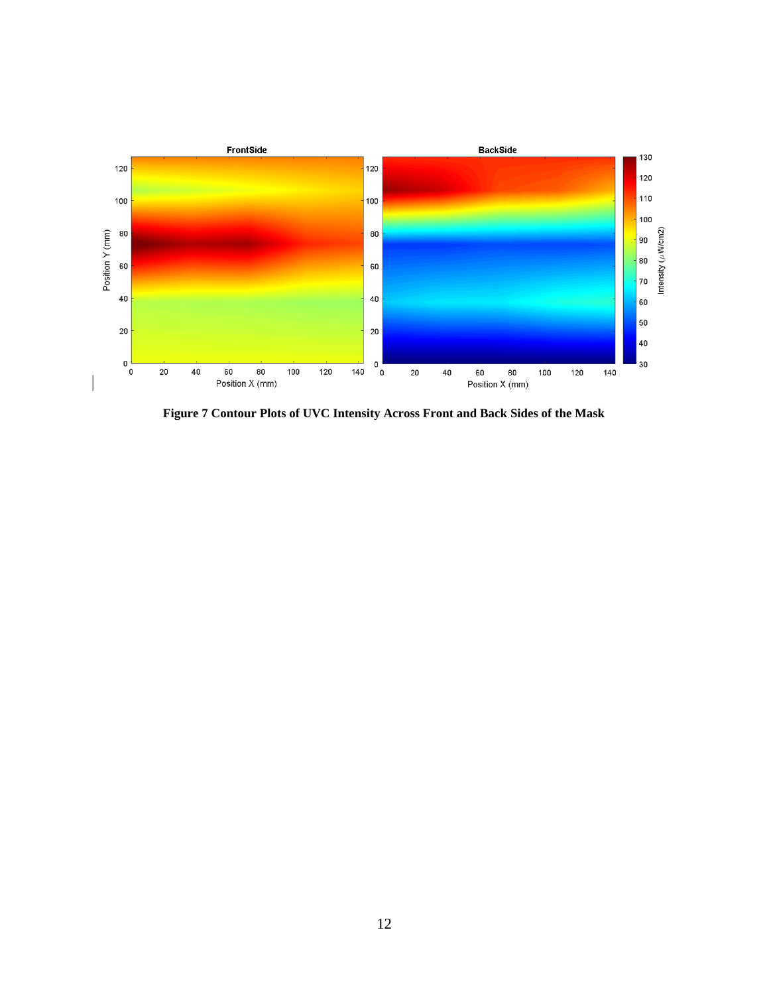

**Figure 7 Contour Plots of UVC Intensity Across Front and Back Sides of the Mask**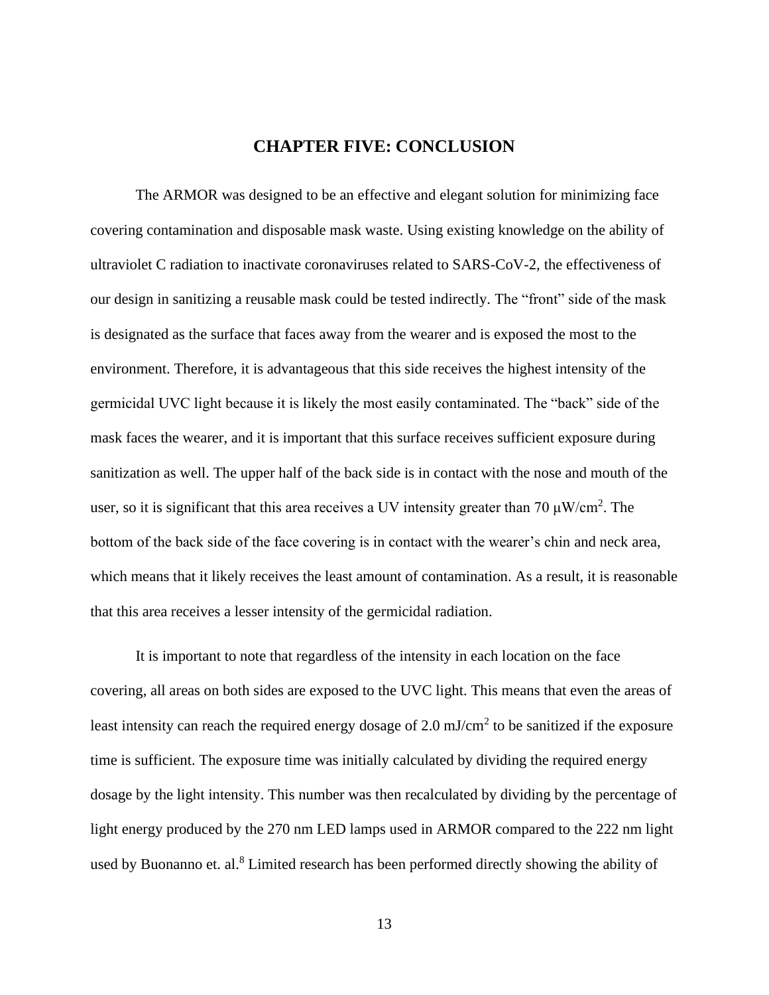### **CHAPTER FIVE: CONCLUSION**

The ARMOR was designed to be an effective and elegant solution for minimizing face covering contamination and disposable mask waste. Using existing knowledge on the ability of ultraviolet C radiation to inactivate coronaviruses related to SARS-CoV-2, the effectiveness of our design in sanitizing a reusable mask could be tested indirectly. The "front" side of the mask is designated as the surface that faces away from the wearer and is exposed the most to the environment. Therefore, it is advantageous that this side receives the highest intensity of the germicidal UVC light because it is likely the most easily contaminated. The "back" side of the mask faces the wearer, and it is important that this surface receives sufficient exposure during sanitization as well. The upper half of the back side is in contact with the nose and mouth of the user, so it is significant that this area receives a UV intensity greater than 70  $\mu$ W/cm<sup>2</sup>. The bottom of the back side of the face covering is in contact with the wearer's chin and neck area, which means that it likely receives the least amount of contamination. As a result, it is reasonable that this area receives a lesser intensity of the germicidal radiation.

It is important to note that regardless of the intensity in each location on the face covering, all areas on both sides are exposed to the UVC light. This means that even the areas of least intensity can reach the required energy dosage of 2.0 mJ/cm<sup>2</sup> to be sanitized if the exposure time is sufficient. The exposure time was initially calculated by dividing the required energy dosage by the light intensity. This number was then recalculated by dividing by the percentage of light energy produced by the 270 nm LED lamps used in ARMOR compared to the 222 nm light used by Buonanno et. al.<sup>8</sup> Limited research has been performed directly showing the ability of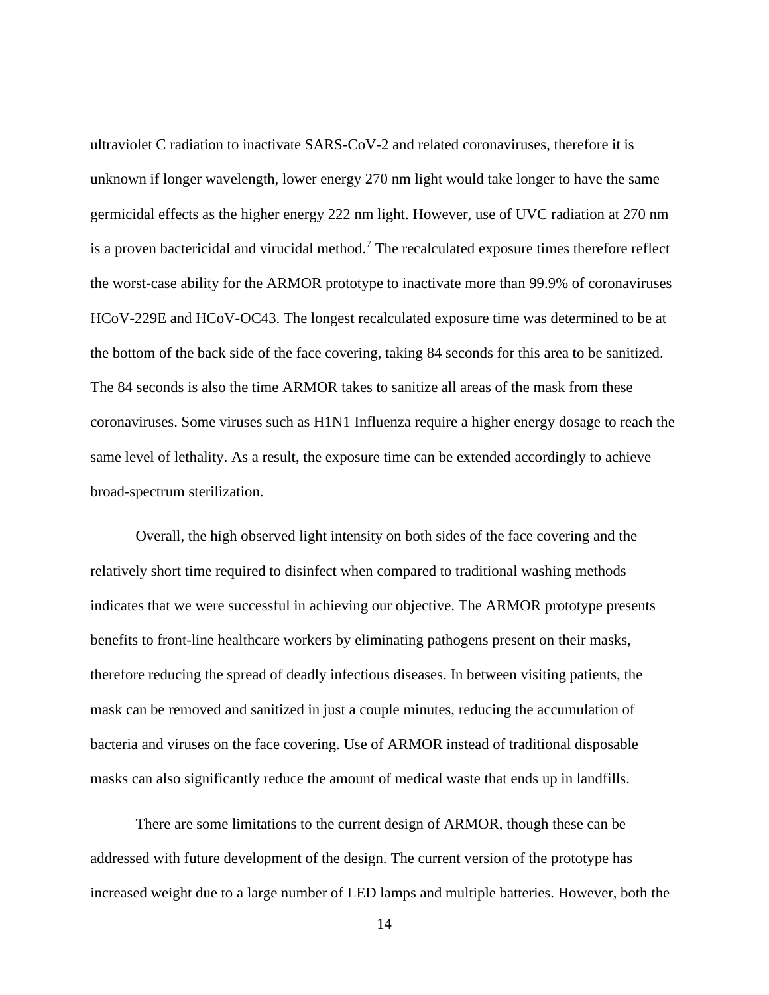ultraviolet C radiation to inactivate SARS-CoV-2 and related coronaviruses, therefore it is unknown if longer wavelength, lower energy 270 nm light would take longer to have the same germicidal effects as the higher energy 222 nm light. However, use of UVC radiation at 270 nm is a proven bactericidal and virucidal method.<sup>7</sup> The recalculated exposure times therefore reflect the worst-case ability for the ARMOR prototype to inactivate more than 99.9% of coronaviruses HCoV-229E and HCoV-OC43. The longest recalculated exposure time was determined to be at the bottom of the back side of the face covering, taking 84 seconds for this area to be sanitized. The 84 seconds is also the time ARMOR takes to sanitize all areas of the mask from these coronaviruses. Some viruses such as H1N1 Influenza require a higher energy dosage to reach the same level of lethality. As a result, the exposure time can be extended accordingly to achieve broad-spectrum sterilization.

Overall, the high observed light intensity on both sides of the face covering and the relatively short time required to disinfect when compared to traditional washing methods indicates that we were successful in achieving our objective. The ARMOR prototype presents benefits to front-line healthcare workers by eliminating pathogens present on their masks, therefore reducing the spread of deadly infectious diseases. In between visiting patients, the mask can be removed and sanitized in just a couple minutes, reducing the accumulation of bacteria and viruses on the face covering. Use of ARMOR instead of traditional disposable masks can also significantly reduce the amount of medical waste that ends up in landfills.

There are some limitations to the current design of ARMOR, though these can be addressed with future development of the design. The current version of the prototype has increased weight due to a large number of LED lamps and multiple batteries. However, both the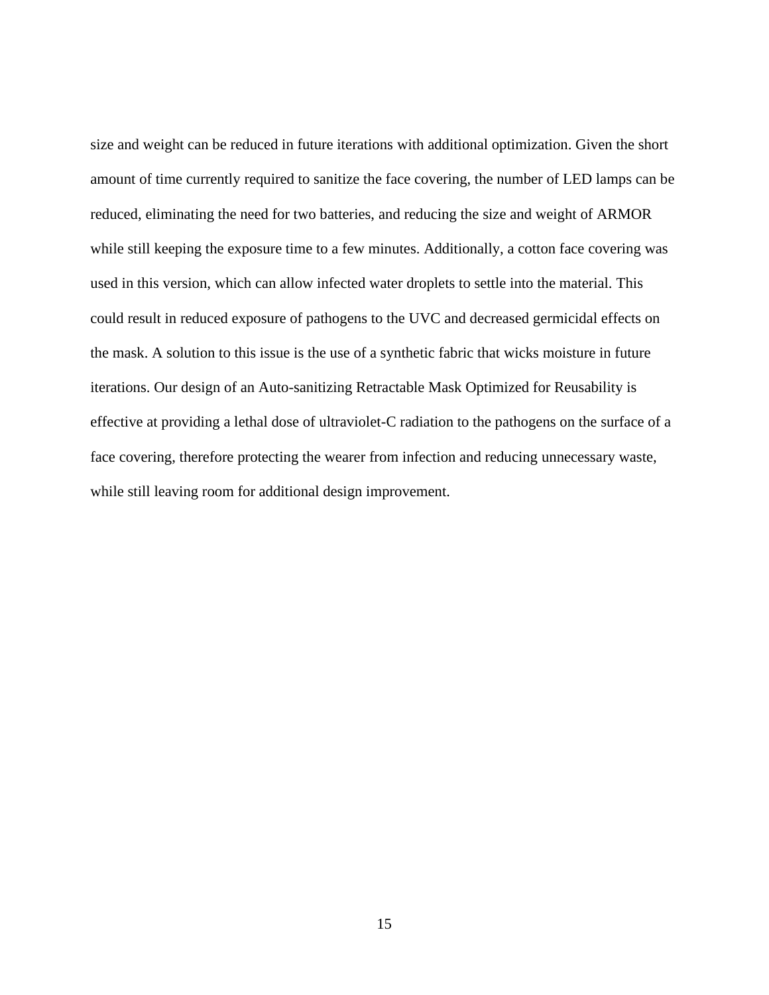size and weight can be reduced in future iterations with additional optimization. Given the short amount of time currently required to sanitize the face covering, the number of LED lamps can be reduced, eliminating the need for two batteries, and reducing the size and weight of ARMOR while still keeping the exposure time to a few minutes. Additionally, a cotton face covering was used in this version, which can allow infected water droplets to settle into the material. This could result in reduced exposure of pathogens to the UVC and decreased germicidal effects on the mask. A solution to this issue is the use of a synthetic fabric that wicks moisture in future iterations. Our design of an Auto-sanitizing Retractable Mask Optimized for Reusability is effective at providing a lethal dose of ultraviolet-C radiation to the pathogens on the surface of a face covering, therefore protecting the wearer from infection and reducing unnecessary waste, while still leaving room for additional design improvement.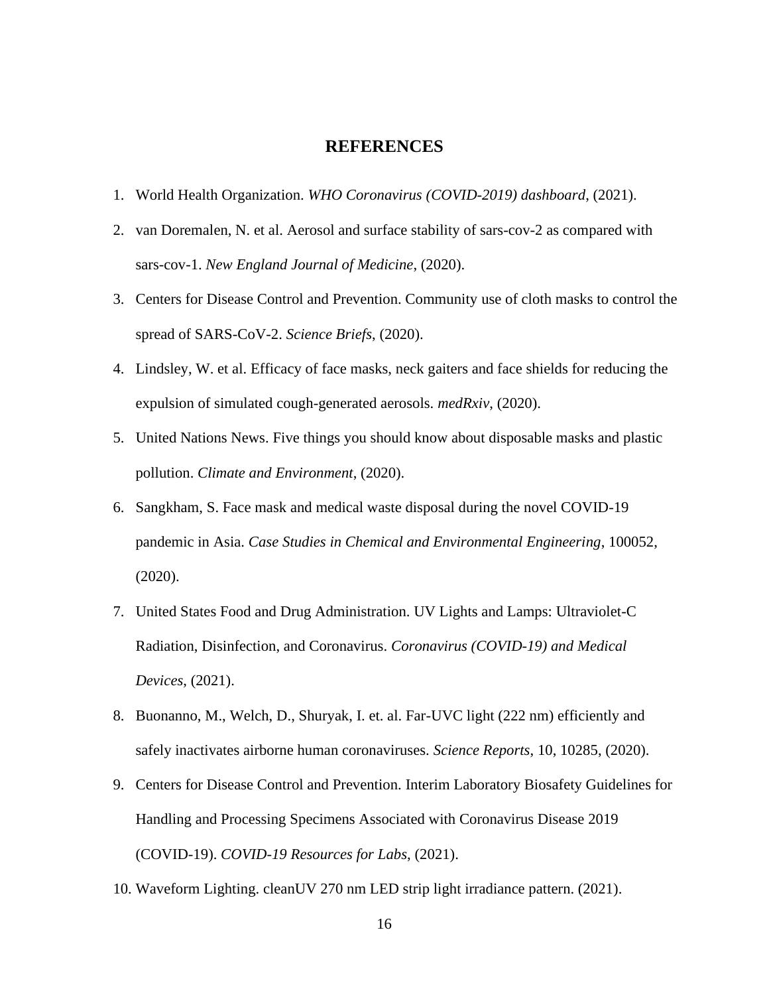### **REFERENCES**

- 1. World Health Organization. *WHO Coronavirus (COVID-2019) dashboard*, (2021).
- 2. van Doremalen, N. et al. Aerosol and surface stability of sars-cov-2 as compared with sars-cov-1. *New England Journal of Medicine*, (2020).
- 3. Centers for Disease Control and Prevention. Community use of cloth masks to control the spread of SARS-CoV-2. *Science Briefs*, (2020).
- 4. Lindsley, W. et al. Efficacy of face masks, neck gaiters and face shields for reducing the expulsion of simulated cough-generated aerosols. *medRxiv*, (2020).
- 5. United Nations News. Five things you should know about disposable masks and plastic pollution. *Climate and Environment*, (2020).
- 6. Sangkham, S. Face mask and medical waste disposal during the novel COVID-19 pandemic in Asia. *Case Studies in Chemical and Environmental Engineering*, 100052, (2020).
- 7. United States Food and Drug Administration. UV Lights and Lamps: Ultraviolet-C Radiation, Disinfection, and Coronavirus. *Coronavirus (COVID-19) and Medical Devices*, (2021).
- 8. Buonanno, M., Welch, D., Shuryak, I. et. al. Far-UVC light (222 nm) efficiently and safely inactivates airborne human coronaviruses. *Science Reports*, 10, 10285, (2020).
- 9. Centers for Disease Control and Prevention. Interim Laboratory Biosafety Guidelines for Handling and Processing Specimens Associated with Coronavirus Disease 2019 (COVID-19). *COVID-19 Resources for Labs*, (2021).
- 10. Waveform Lighting. cleanUV 270 nm LED strip light irradiance pattern. (2021).